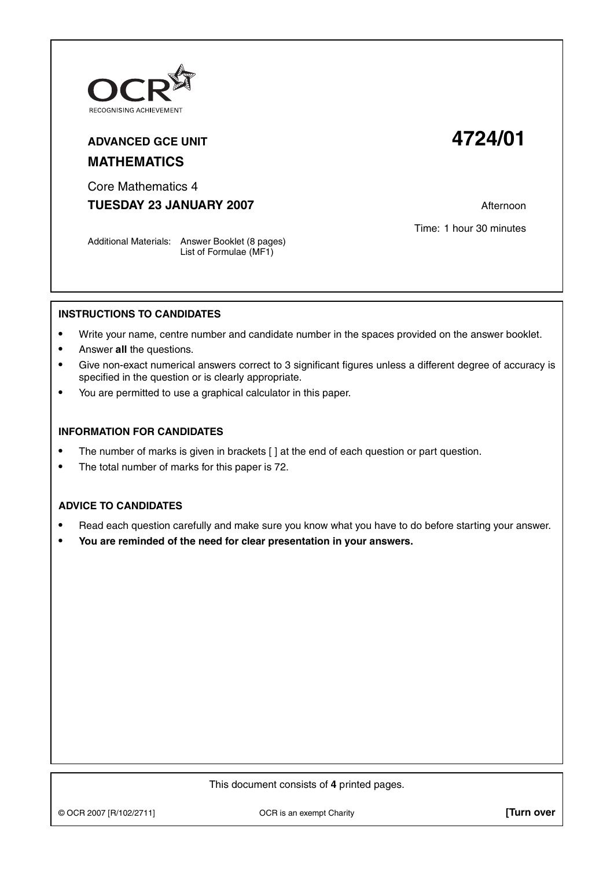

## **ADVANCED GCE UNIT 4724/01 MATHEMATICS**

Core Mathematics 4 **TUESDAY 23 JANUARY 2007** Afternoon

Time: 1 hour 30 minutes

Additional Materials: Answer Booklet (8 pages) List of Formulae (MF1)

## **INSTRUCTIONS TO CANDIDATES**

- **•** Write your name, centre number and candidate number in the spaces provided on the answer booklet.
- **•** Answer **all** the questions.
- **•** Give non-exact numerical answers correct to 3 significant figures unless a different degree of accuracy is specified in the question or is clearly appropriate.
- **•** You are permitted to use a graphical calculator in this paper.

## **INFORMATION FOR CANDIDATES**

- The number of marks is given in brackets [ ] at the end of each question or part question.
- **•** The total number of marks for this paper is 72.

## **ADVICE TO CANDIDATES**

- **•** Read each question carefully and make sure you know what you have to do before starting your answer.
- **• You are reminded of the need for clear presentation in your answers.**

This document consists of **4** printed pages.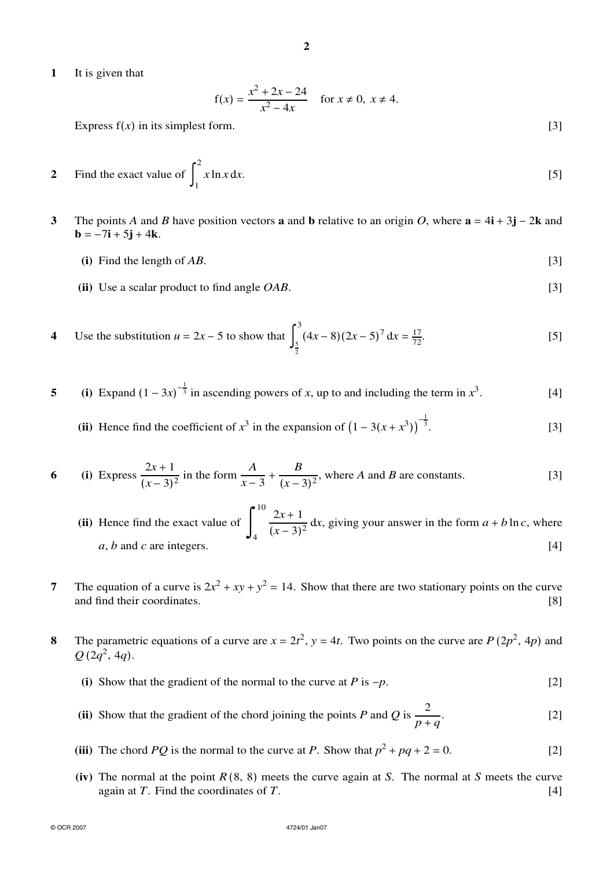**2**

**1** It is given that

$$
f(x) = \frac{x^2 + 2x - 24}{x^2 - 4x}
$$
 for  $x \neq 0$ ,  $x \neq 4$ .

Express  $f(x)$  in its simplest form. [3]

2 Find the exact value of 
$$
\int_{1}^{2} x \ln x \, dx.
$$
 [5]

- **3** The points *A* and *B* have position vectors **a** and **b** relative to an origin *O*, where **a** = 4**i** + 3**j** − 2**k** and **.** 
	- **(i)** Find the length of  $AB$ . [3]
	- **(ii)** Use a scalar product to find angle *OAB*. [3]
- **4** Use the substitution  $u = 2x 5$  to show that 3 5 2  $(4x-8)(2x-5)^7 dx = \frac{17}{72}$  $\frac{17}{72}$ . [5]
- **5** (i) Expand  $(1 3x)^{-\frac{1}{3}}$  in ascending powers of *x*, up to and including the term in  $x^3$ . [4]
	- (ii) Hence find the coefficient of  $x^3$  in the expansion of  $(1 3(x + x^3))^{-\frac{1}{3}}$ .  $[3]$
- **6** (i) Express  $\frac{2x+1}{(x-3)^2}$  in the form  $\frac{A}{x-3}$  +  $\frac{B}{(x-3)^2}$ , where *A* and *B* are constants. [3]
	- **(ii)** Hence find the exact value of 10 4  $\frac{2x+1}{(x-3)^2}$  dx, giving your answer in the form  $a + b \ln c$ , where  $a, b$  and *c* are integers.  $[4]$
- **7** The equation of a curve is  $2x^2 + xy + y^2 = 14$ . Show that there are two stationary points on the curve and find their coordinates. [8]
- **8** The parametric equations of a curve are  $x = 2t^2$ ,  $y = 4t$ . Two points on the curve are  $P(2p^2, 4p)$  and  $Q(2q^2, 4q)$ .
	- (i) Show that the gradient of the normal to the curve at *P* is  $-p$ . [2]
	- **(ii)** Show that the gradient of the chord joining the points *P* and *Q* is  $\frac{2}{2}$ *p* + *q* . [2]
	- (iii) The chord *PQ* is the normal to the curve at *P*. Show that  $p^2 + pq + 2 = 0$ . [2]
	- **(iv)** The normal at the point *R* (8, 8) meets the curve again at *S*. The normal at *S* meets the curve again at *T*. Find the coordinates of *T*. [4]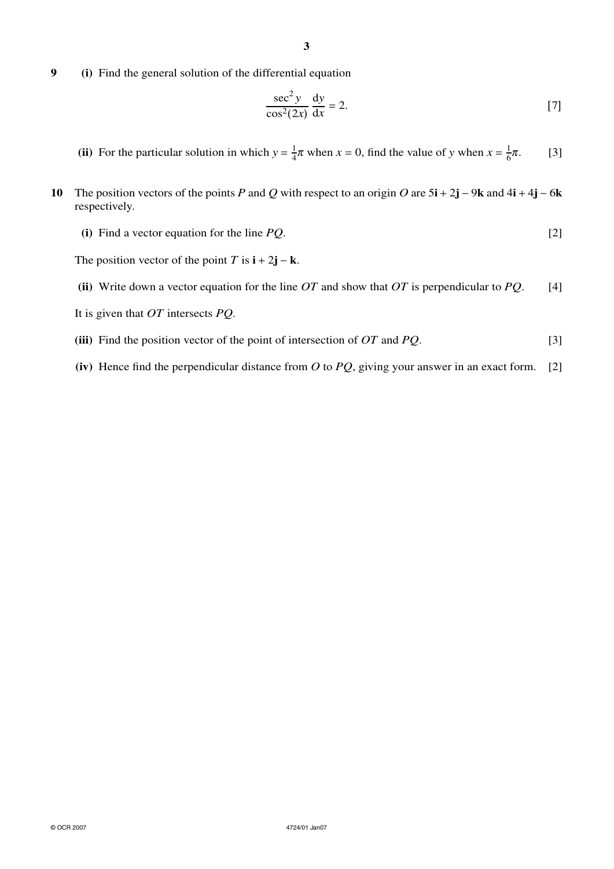**9 (i)** Find the general solution of the differential equation

$$
\frac{\sec^2 y}{\cos^2(2x)} \frac{dy}{dx} = 2.
$$
 [7]

- (ii) For the particular solution in which  $y = \frac{1}{4}\pi$  when  $x = 0$ , find the value of *y* when  $x = \frac{1}{6}$  $[3]$
- **10** The position vectors of the points *P* and *Q* with respect to an origin *O* are  $5\mathbf{i} + 2\mathbf{j} 9\mathbf{k}$  and  $4\mathbf{i} + 4\mathbf{j} 6\mathbf{k}$ respectively.
	- **(i)** Find a vector equation for the line *PQ*. [2]

The position vector of the point  $T$  is  $\mathbf{i} + 2\mathbf{j} - \mathbf{k}$ .

- **(ii)** Write down a vector equation for the line *OT* and show that *OT* is perpendicular to *PQ*. [4]
- It is given that *OT* intersects *PQ*.
- **(iii)** Find the position vector of the point of intersection of *OT* and *PQ*. [3]
- **(iv)** Hence find the perpendicular distance from *O* to *PQ*, giving your answer in an exact form. [2]